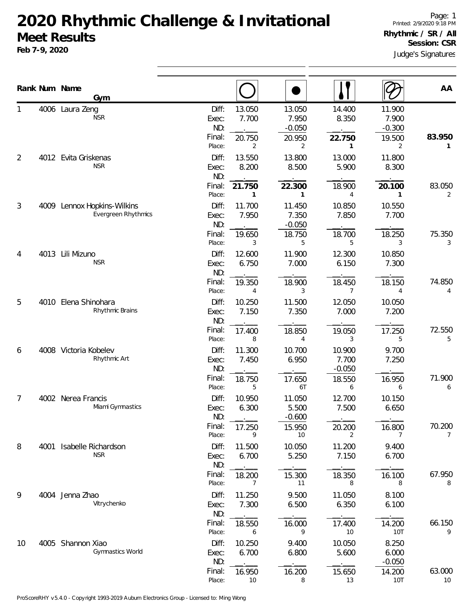## **2020 Rhythmic Challenge & Invitational Meet Results**

**Feb 7-9, 2020**

Judge's Signatures Page: 1 Printed: 2/9/2020 9:18 PM **Rhythmic / SR / All Session: CSR**

|                |      | Rank Num Name<br>Gym                    |                                                                             |                                            |                                             |                                            | AA                       |
|----------------|------|-----------------------------------------|-----------------------------------------------------------------------------|--------------------------------------------|---------------------------------------------|--------------------------------------------|--------------------------|
|                |      | 4006 Laura Zeng<br><b>NSR</b>           | Diff:<br>13.050<br>7.700<br>Exec:<br>ND:<br>Final:<br>20.750<br>Place:<br>2 | 13.050<br>7.950<br>$-0.050$<br>20.950<br>2 | 14.400<br>8.350<br>22.750<br>1              | 11.900<br>7.900<br>$-0.300$<br>19.500<br>2 | 83.950<br>$\mathbf{1}$   |
| $\overline{2}$ |      | 4012 Evita Griskenas<br><b>NSR</b>      | Diff:<br>13.550<br>8.200<br>Exec:<br>ND:                                    | 13.800<br>8.500                            | 13.000<br>5.900                             | 11.800<br>8.300                            |                          |
| 3              | 4009 | Lennox Hopkins-Wilkins                  | Final:<br>21.750<br>Place:<br>1<br>Diff:<br>11.700                          | 22.300<br>$\mathbf{1}$<br>11.450           | 18.900<br>4<br>10.850                       | 20.100<br>$\mathbf{1}$<br>10.550           | 83.050<br>2              |
|                |      | Evergreen Rhythmics                     | 7.950<br>Exec:<br>ND:<br>Final:<br>19.650<br>Place:<br>3                    | 7.350<br>$-0.050$<br>18.750<br>5           | 7.850<br>18.700<br>5                        | 7.700<br>18.250<br>3                       | 75.350<br>3              |
| 4              | 4013 | Lili Mizuno<br><b>NSR</b>               | Diff:<br>12.600<br>6.750<br>Exec:<br>ND:                                    | 11.900<br>7.000                            | 12.300<br>6.150                             | 10.850<br>7.300                            |                          |
| 5              |      | 4010 Elena Shinohara<br>Rhythmic Brains | Final:<br>19.350<br>Place:<br>4<br>Diff:<br>10.250<br>7.150<br>Exec:        | 18.900<br>3<br>11.500<br>7.350             | 18.450<br>$\overline{7}$<br>12.050<br>7.000 | 18.150<br>4<br>10.050<br>7.200             | 74.850<br>4              |
|                |      |                                         | ND:<br>Final:<br>17.400<br>Place:<br>8                                      | 18.850<br>4                                | 19.050<br>3                                 | 17.250<br>5                                | 72.550<br>5              |
| 6              |      | 4008 Victoria Kobelev<br>Rhythmic Art   | Diff:<br>11.300<br>7.450<br>Exec:<br>ND:<br>Final:<br>18.750                | 10.700<br>6.950<br>17.650                  | 10.900<br>7.700<br>$-0.050$<br>18.550       | 9.700<br>7.250<br>16.950                   | 71.900                   |
| 7              |      | 4002 Nerea Francis<br>Miami Gymnastics  | Place:<br>5<br>Diff:<br>10.950<br>6.300<br>Exec:<br>ND:                     | 6T<br>11.050<br>5.500<br>$-0.600$          | 6<br>12.700<br>7.500                        | 6<br>10.150<br>6.650                       | 6                        |
| 8              | 4001 | Isabelle Richardson                     | Final:<br>17.250<br>Place:<br>9<br>Diff:<br>11.500                          | 15.950<br>10<br>10.050                     | 20.200<br>2<br>11.200                       | 16.800<br>7<br>9.400                       | 70.200<br>$\overline{7}$ |
|                |      | <b>NSR</b>                              | 6.700<br>Exec:<br>ND:<br>Final:<br>18.200<br>Place:<br>7                    | 5.250<br>15.300<br>11                      | 7.150<br>18.350<br>8                        | 6.700<br>16.100<br>8                       | 67.950<br>8              |
| 9              |      | 4004 Jenna Zhao<br>Vitrychenko          | Diff:<br>11.250<br>7.300<br>Exec:<br>ND:                                    | 9.500<br>6.500                             | 11.050<br>6.350                             | 8.100<br>6.100                             |                          |
| 10             |      | 4005 Shannon Xiao<br>Gymnastics World   | Final:<br>18.550<br>Place:<br>6<br>Diff:<br>10.250<br>6.700<br>Exec:        | 16.000<br>9<br>9.400<br>6.800              | 17.400<br>10<br>10.050<br>5.600             | 14.200<br>10T<br>8.250<br>6.000            | 66.150<br>9              |
|                |      |                                         | ND:<br>Final:<br>16.950<br>Place:<br>10                                     | 16.200<br>8                                | 15.650<br>13                                | $-0.050$<br>14.200<br>10T                  | 63.000<br>10             |